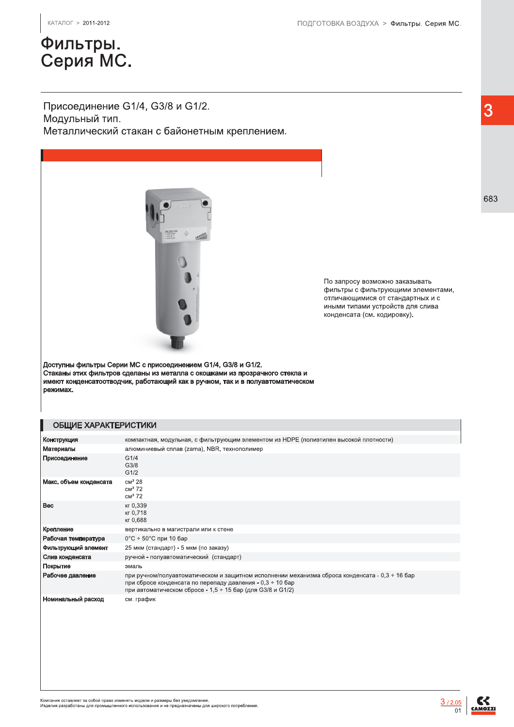# Фильтры.<br>Серия МС.

### Присоединение G1/4, G3/8 и G1/2. Модульный тип.

Металлический стакан с байонетным креплением.



 $(683)$ заказывать По запросу возможно заказывать фильтры с фильтрующими элементами. отличаюшимися от стандартных и с иными типами устройств для слива конденсата (см. кодировку).

Доступны фильтры Серии МС с присоединением G1/4, G3/8 и G1/2. Стаканы этих фильтров сделаны из металла с окошками из прозрачного стекла и имеют конденсатоотводчик, работаюший как в ручном, так и в полуавтоматическом режимах.

#### ОБЩИЕ ХАРАКТЕРИСТИКИ

| Конструкция            | компактная, модульная, с фильтрующим элементом из HDPE (полиэтилен высокой плотности)                                                                                                                                          |
|------------------------|--------------------------------------------------------------------------------------------------------------------------------------------------------------------------------------------------------------------------------|
| Материалы              | алюминиевый сплав (zama), NBR, технополимер                                                                                                                                                                                    |
| Присоединение          | G1/4<br>G3/8<br>G1/2                                                                                                                                                                                                           |
| Макс. объем конденсата | CM <sup>3</sup> 28<br>CM <sup>3</sup> 72<br>CM <sup>3</sup> 72                                                                                                                                                                 |
| <b>Bec</b>             | кг 0,339<br>кг 0,718<br>кг 0,688                                                                                                                                                                                               |
| Крепление              | вертикально в магистрали или к стене                                                                                                                                                                                           |
| Рабочая температура    | 0°С $\div$ 50°С при 10 бар                                                                                                                                                                                                     |
| Фильтрующий элемент    | 25 мкм (стандарт) - 5 мкм (по заказу)                                                                                                                                                                                          |
| Слив конденсата        | ручной - полуавтоматический (стандарт)                                                                                                                                                                                         |
| Покрытие               | эмаль                                                                                                                                                                                                                          |
| Рабочее давление       | при ручном/полуавтоматическом и защитном исполнении механизма сброса конденсата - 0,3 ÷ 16 бар<br>при сбросе конденсата по перепаду давления - 0,3 ÷ 10 бар<br>при автоматическом сбросе - 1,5 $\div$ 15 бар (для G3/8 и G1/2) |
| Номинальный расход     | см. график                                                                                                                                                                                                                     |

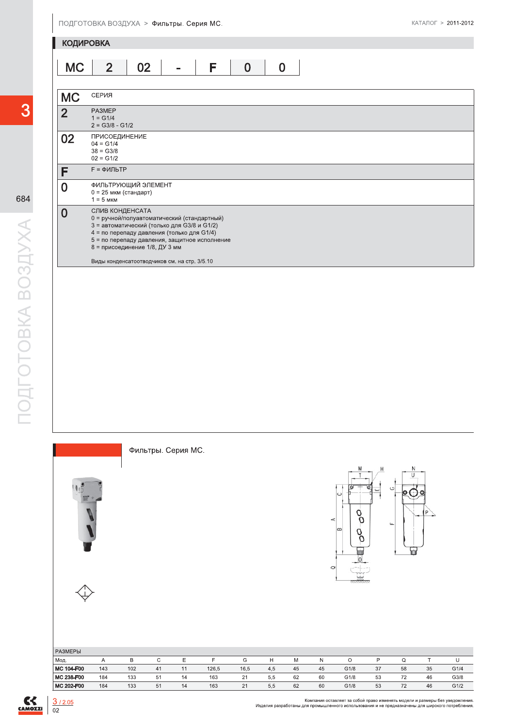

3

684

## Фильтры. Серия МС.





| <b>РАЗМЕРЫ</b> |     |     |    |    |       |      |     |    |    |      |    |    |    |      |
|----------------|-----|-----|----|----|-------|------|-----|----|----|------|----|----|----|------|
| Мод.           |     |     |    |    |       | G    | н   | M  | N  |      |    |    |    |      |
| MC 104-F00     | 143 | 102 | 41 |    | 126,5 | 16,5 | 4,5 | 45 | 45 | G1/8 | 37 | 58 | 35 | G1/4 |
| MC 238-F00     | 184 | 133 | 51 | 14 | 163   | 21   | 5,5 | 62 | 60 | G1/8 | 53 | 72 | 46 | G3/8 |
| MC 202-F00     | 184 | 133 | 51 | 14 | 163   | 21   | 5,5 | 62 | 60 | G1/8 | 53 | 72 | 46 | G1/2 |